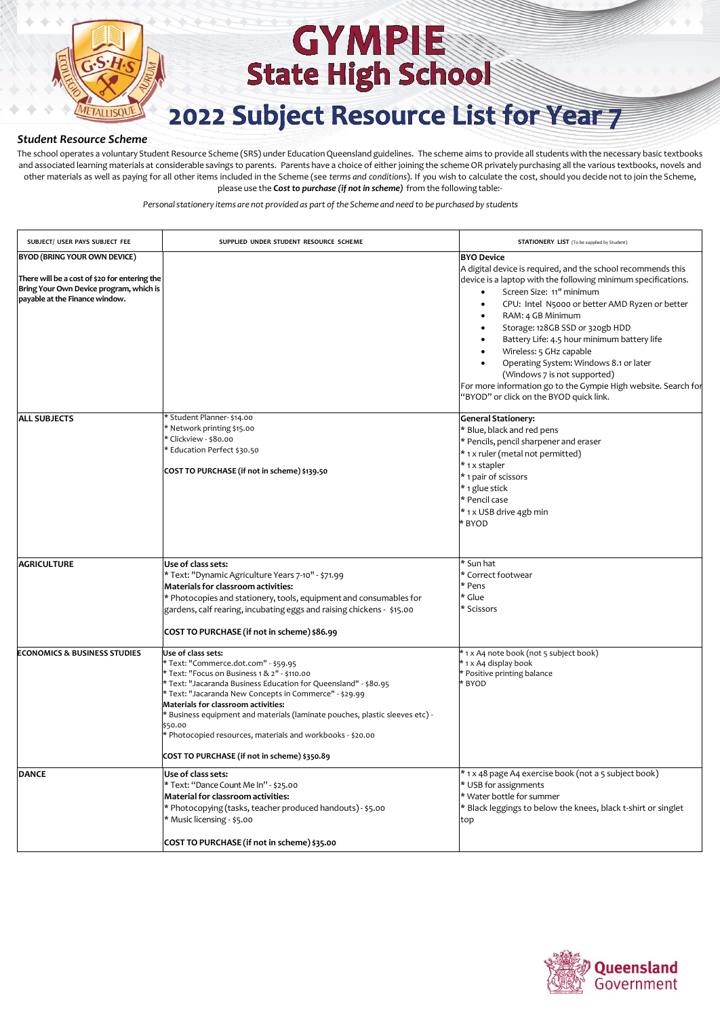

# **GYMPIE State High School**

### 2022 Subject Resource List for Year 7

#### *Student Resource Scheme*

The school operates a voluntary Student Resource Scheme (SRS) under EducationQueensland guidelines. The scheme aims to provide all studentswith the necessary basic textbooks and associated learning materials at considerable savings to parents. Parents have a choice of either joining the scheme OR privately purchasing all the various textbooks, novels and other materials as well as paying for all other items included in the Scheme (see *terms and conditions*). If you wish to calculate the cost, should you decide not to join the Scheme, please use the **C***ost to purchase (if not in scheme)* from the following table:-

| SUBJECT/ USER PAYS SUBJECT FEE                                                                                                                                    | SUPPLIED UNDER STUDENT RESOURCE SCHEME                                                                                                                                                                                                                                                                                                                                                                                                                                              | <b>STATIONERY LIST</b> (To be supplied by Student)                                                                                                                                                                                                                                                                                                                                                                                                                                                                                                                     |
|-------------------------------------------------------------------------------------------------------------------------------------------------------------------|-------------------------------------------------------------------------------------------------------------------------------------------------------------------------------------------------------------------------------------------------------------------------------------------------------------------------------------------------------------------------------------------------------------------------------------------------------------------------------------|------------------------------------------------------------------------------------------------------------------------------------------------------------------------------------------------------------------------------------------------------------------------------------------------------------------------------------------------------------------------------------------------------------------------------------------------------------------------------------------------------------------------------------------------------------------------|
| <b>BYOD (BRING YOUR OWN DEVICE)</b><br>There will be a cost of \$20 for entering the<br>Bring Your Own Device program, which is<br>payable at the Finance window. |                                                                                                                                                                                                                                                                                                                                                                                                                                                                                     | <b>BYO Device</b><br>A digital device is required, and the school recommends this<br>device is a laptop with the following minimum specifications.<br>Screen Size: 11" minimum<br>CPU: Intel N5000 or better AMD Ryzen or better<br>RAM: 4 GB Minimum<br>$\bullet$<br>Storage: 128GB SSD or 320gb HDD<br>Battery Life: 4.5 hour minimum battery life<br>Wireless: 5 GHz capable<br>Operating System: Windows 8.1 or later<br>(Windows 7 is not supported)<br>For more information go to the Gympie High website. Search for<br>"BYOD" or click on the BYOD quick link. |
| <b>ALL SUBJECTS</b>                                                                                                                                               | Student Planner- \$14.00<br>Network printing \$15.00<br>Clickview - \$80.00<br>Education Perfect \$30.50<br>COST TO PURCHASE (if not in scheme) \$139.50                                                                                                                                                                                                                                                                                                                            | <b>General Stationery:</b><br>* Blue, black and red pens<br>* Pencils, pencil sharpener and eraser<br>* 1 x ruler (metal not permitted)<br>* 1 x stapler<br>* 1 pair of scissors<br>* 1 glue stick<br>* Pencil case<br>* 1 x USB drive 4gb min<br>* BYOD                                                                                                                                                                                                                                                                                                               |
| <b>AGRICULTURE</b>                                                                                                                                                | Use of class sets:<br>* Text: "Dynamic Agriculture Years 7-10" - \$71.99<br>Materials for classroom activities:<br>* Photocopies and stationery, tools, equipment and consumables for<br>gardens, calf rearing, incubating eggs and raising chickens - \$15.00<br>COST TO PURCHASE (if not in scheme) \$86.99                                                                                                                                                                       | * Sun hat<br>* Correct footwear<br>* Pens<br>* Glue<br>* Scissors                                                                                                                                                                                                                                                                                                                                                                                                                                                                                                      |
| <b>ECONOMICS &amp; BUSINESS STUDIES</b>                                                                                                                           | Use of class sets:<br>* Text: "Commerce.dot.com" - \$59.95<br>* Text: "Focus on Business 1 & 2" - \$110.00<br>* Text: "Jacaranda Business Education for Queensland" - \$80.95<br>* Text: "Jacaranda New Concepts in Commerce" - \$29.99<br>Materials for classroom activities:<br>Business equipment and materials (laminate pouches, plastic sleeves etc) -<br>\$50.00<br>Photocopied resources, materials and workbooks - \$20.00<br>COST TO PURCHASE (if not in scheme) \$350.89 | * 1 x A4 note book (not 5 subject book)<br>1 x A4 display book<br>Positive printing balance<br>* BYOD                                                                                                                                                                                                                                                                                                                                                                                                                                                                  |
| <b>DANCE</b>                                                                                                                                                      | Use of class sets:<br>* Text: "Dance Count Me In" - \$25.00<br><b>Material for classroom activities:</b><br>* Photocopying (tasks, teacher produced handouts) - \$5.00<br>* Music licensing - \$5.00<br>COST TO PURCHASE (if not in scheme) \$35.00                                                                                                                                                                                                                                 | * 1 x 48 page A4 exercise book (not a 5 subject book)<br>* USB for assignments<br>* Water bottle for summer<br>* Black leggings to below the knees, black t-shirt or singlet<br>top                                                                                                                                                                                                                                                                                                                                                                                    |

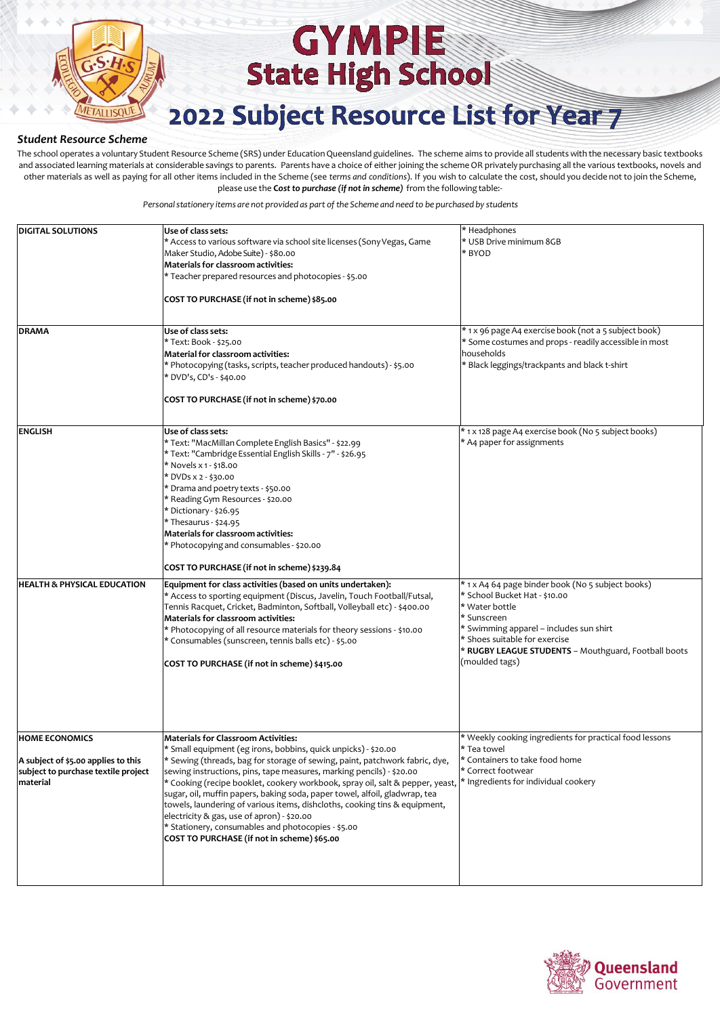

# **GYMPIE State High School**

### 2022 Subject Resource List for Year 7

#### *Student Resource Scheme*

The school operates a voluntary Student Resource Scheme (SRS) under EducationQueensland guidelines. The scheme aims to provide all studentswith the necessary basic textbooks and associated learning materials at considerable savings to parents. Parents have a choice of either joining the scheme OR privately purchasing all the various textbooks, novels and other materials as well as paying for all other items included in the Scheme (see *terms and conditions*). If you wish to calculate the cost, should you decide not to join the Scheme, please use the **C***ost to purchase (if not in scheme)* from the following table:-

| <b>DIGITAL SOLUTIONS</b>                                                                                        | Use of class sets:<br>* Access to various software via school site licenses (Sony Vegas, Game<br>Maker Studio, Adobe Suite) - \$80.00<br>Materials for classroom activities:<br>* Teacher prepared resources and photocopies - \$5.00<br>COST TO PURCHASE (if not in scheme) \$85.00                                                                                                                                                                                                                                                                                                                                                                                | * Headphones<br>* USB Drive minimum 8GB<br>* BYOD                                                                                                                                                                                                                         |
|-----------------------------------------------------------------------------------------------------------------|---------------------------------------------------------------------------------------------------------------------------------------------------------------------------------------------------------------------------------------------------------------------------------------------------------------------------------------------------------------------------------------------------------------------------------------------------------------------------------------------------------------------------------------------------------------------------------------------------------------------------------------------------------------------|---------------------------------------------------------------------------------------------------------------------------------------------------------------------------------------------------------------------------------------------------------------------------|
| <b>DRAMA</b>                                                                                                    | Use of class sets:<br>* Text: Book - \$25.00<br><b>Material for classroom activities:</b><br>* Photocopying (tasks, scripts, teacher produced handouts) - \$5.00<br>* DVD's, CD's - \$40.00<br>COST TO PURCHASE (if not in scheme) \$70.00                                                                                                                                                                                                                                                                                                                                                                                                                          | * 1 x 96 page A4 exercise book (not a 5 subject book)<br>* Some costumes and props - readily accessible in most<br>households<br>* Black leggings/trackpants and black t-shirt                                                                                            |
| <b>ENGLISH</b>                                                                                                  | Use of class sets:<br>* Text: "MacMillan Complete English Basics" - \$22.99<br>* Text: "Cambridge Essential English Skills - 7" - \$26.95<br>* Novels x 1 - \$18.00<br>* DVDs x 2 - \$30.00<br>* Drama and poetry texts - \$50.00<br>* Reading Gym Resources - \$20.00<br>* Dictionary - \$26.95<br>* Thesaurus - \$24.95<br>Materials for classroom activities:<br>* Photocopying and consumables - \$20.00<br>COST TO PURCHASE (if not in scheme) \$239.84                                                                                                                                                                                                        | * 1 x 128 page A4 exercise book (No 5 subject books)<br>* A4 paper for assignments                                                                                                                                                                                        |
| <b>HEALTH &amp; PHYSICAL EDUCATION</b>                                                                          | Equipment for class activities (based on units undertaken):<br>* Access to sporting equipment (Discus, Javelin, Touch Football/Futsal,<br>Tennis Racquet, Cricket, Badminton, Softball, Volleyball etc) - \$400.00<br>Materials for classroom activities:<br>* Photocopying of all resource materials for theory sessions - \$10.00<br>* Consumables (sunscreen, tennis balls etc) - \$5.00<br>COST TO PURCHASE (if not in scheme) \$415.00                                                                                                                                                                                                                         | * 1 x A4 64 page binder book (No 5 subject books)<br>* School Bucket Hat - \$10.00<br>* Water bottle<br>* Sunscreen<br>* Swimming apparel - includes sun shirt<br>* Shoes suitable for exercise<br>* RUGBY LEAGUE STUDENTS - Mouthguard, Football boots<br>(moulded tags) |
| <b>HOME ECONOMICS</b><br>A subject of \$5.00 applies to this<br>subject to purchase textile project<br>material | <b>Materials for Classroom Activities:</b><br>* Small equipment (eg irons, bobbins, quick unpicks) - \$20.00<br>* Sewing (threads, bag for storage of sewing, paint, patchwork fabric, dye,<br>sewing instructions, pins, tape measures, marking pencils) - \$20.00<br>* Cooking (recipe booklet, cookery workbook, spray oil, salt & pepper, yeast,<br>sugar, oil, muffin papers, baking soda, paper towel, alfoil, gladwrap, tea<br>towels, laundering of various items, dishcloths, cooking tins & equipment,<br>electricity & gas, use of apron) - \$20.00<br>* Stationery, consumables and photocopies - \$5.00<br>COST TO PURCHASE (if not in scheme) \$65.00 | * Weekly cooking ingredients for practical food lessons<br>* Tea towel<br>* Containers to take food home<br>* Correct footwear<br>* Ingredients for individual cookery                                                                                                    |

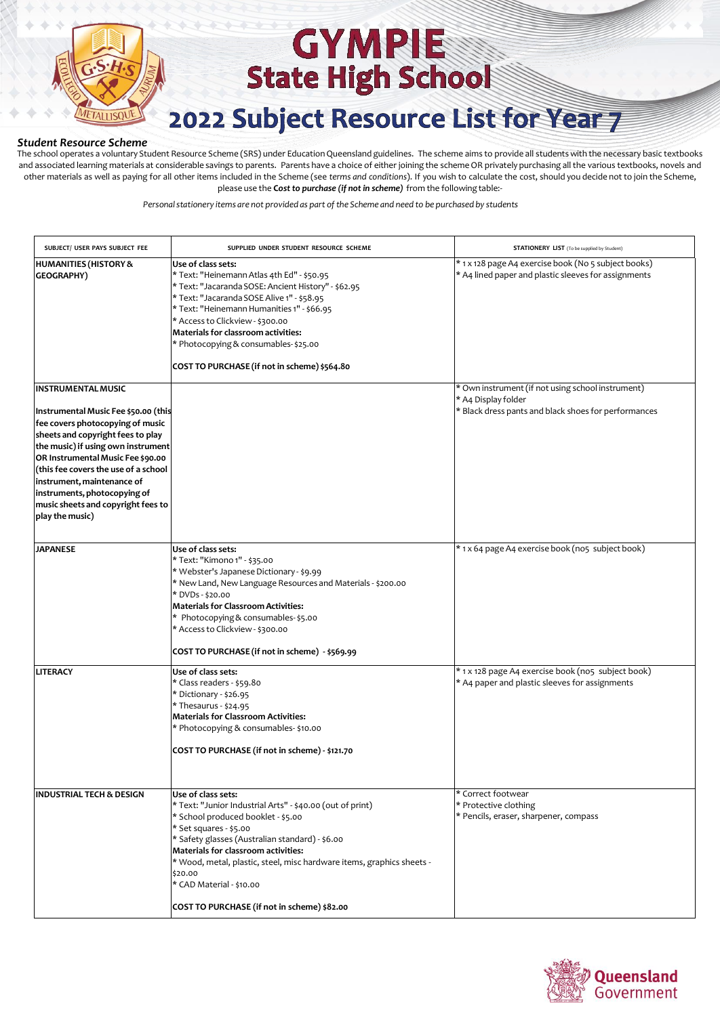

## **GYMPIE State High School** 2022 Subject Resource List for Year 7

#### *Student Resource Scheme*

The school operates a voluntary Student Resource Scheme (SRS) under Education Queensland guidelines. The scheme aims to provide all students with the necessary basic textbooks and associated learning materials at considerable savings to parents. Parents have a choice of either joining the scheme OR privately purchasing all the various textbooks, novels and other materials as well as paying for all other items included in the Scheme (see *terms and conditions*). If you wish to calculate the cost, should you decide not to join the Scheme, please use the **C***ost to purchase (if not in scheme)* from the following table:-

| SUBJECT/ USER PAYS SUBJECT FEE                                                                                                                                                                                                                                                                                                                                                       | SUPPLIED UNDER STUDENT RESOURCE SCHEME                                                                                                                                                                                                                                                                                                                                                                   | <b>STATIONERY LIST</b> (To be supplied by Student)                                                                               |
|--------------------------------------------------------------------------------------------------------------------------------------------------------------------------------------------------------------------------------------------------------------------------------------------------------------------------------------------------------------------------------------|----------------------------------------------------------------------------------------------------------------------------------------------------------------------------------------------------------------------------------------------------------------------------------------------------------------------------------------------------------------------------------------------------------|----------------------------------------------------------------------------------------------------------------------------------|
| <b>HUMANITIES (HISTORY &amp;</b><br><b>GEOGRAPHY)</b>                                                                                                                                                                                                                                                                                                                                | Use of class sets:<br>* Text: "Heinemann Atlas 4th Ed" - \$50.95<br>* Text: "Jacaranda SOSE: Ancient History" - \$62.95<br>* Text: "Jacaranda SOSE Alive 1" - \$58.95<br>* Text: "Heinemann Humanities 1" - \$66.95<br>* Access to Clickview - \$300.00<br>Materials for classroom activities:<br>* Photocopying & consumables-\$25.00<br>COST TO PURCHASE (if not in scheme) \$564.80                   | * 1 x 128 page A4 exercise book (No 5 subject books)<br>* A4 lined paper and plastic sleeves for assignments                     |
| <b>INSTRUMENTAL MUSIC</b><br>Instrumental Music Fee \$50.00 (this<br>fee covers photocopying of music<br>sheets and copyright fees to play<br>the music) if using own instrument<br>OR Instrumental Music Fee \$90.00<br>(this fee covers the use of a school<br>instrument, maintenance of<br>instruments, photocopying of<br>music sheets and copyright fees to<br>play the music) |                                                                                                                                                                                                                                                                                                                                                                                                          | * Own instrument (if not using school instrument)<br>* A4 Display folder<br>* Black dress pants and black shoes for performances |
| <b>JAPANESE</b>                                                                                                                                                                                                                                                                                                                                                                      | Use of class sets:<br>* Text: "Kimono 1" - \$35.00<br>* Webster's Japanese Dictionary - \$9.99<br>* New Land, New Language Resources and Materials - \$200.00<br>* DVDs - \$20.00<br><b>Materials for Classroom Activities:</b><br>* Photocopying & consumables-\$5.00<br>* Access to Clickview - \$300.00<br>COST TO PURCHASE (if not in scheme) - \$569.99                                             | * 1 x 64 page A4 exercise book (no5 subject book)                                                                                |
| LITERACY                                                                                                                                                                                                                                                                                                                                                                             | Use of class sets:<br>* Class readers - \$59.80<br>* Dictionary - \$26.95<br>* Thesaurus - \$24.95<br><b>Materials for Classroom Activities:</b><br>* Photocopying & consumables-\$10.00<br>COST TO PURCHASE (if not in scheme) - \$121.70                                                                                                                                                               | * 1 x 128 page A4 exercise book (no5 subject book)<br>* A4 paper and plastic sleeves for assignments                             |
| <b>INDUSTRIAL TECH &amp; DESIGN</b>                                                                                                                                                                                                                                                                                                                                                  | Use of class sets:<br>* Text: "Junior Industrial Arts" - \$40.00 (out of print)<br>* School produced booklet - \$5.00<br>* Set squares - \$5.00<br>* Safety glasses (Australian standard) - \$6.00<br>Materials for classroom activities:<br>* Wood, metal, plastic, steel, misc hardware items, graphics sheets -<br>\$20.00<br>* CAD Material - \$10.00<br>COST TO PURCHASE (if not in scheme) \$82.00 | * Correct footwear<br>* Protective clothing<br>* Pencils, eraser, sharpener, compass                                             |